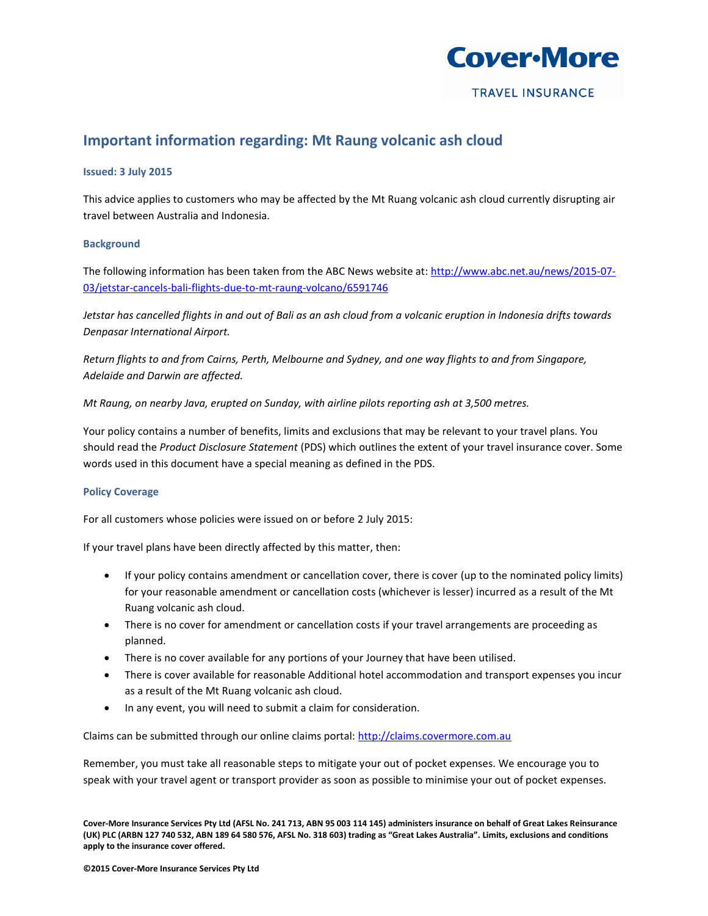

# **Important information regarding: Mt Raung volcanic ash cloud**

## **Issued: 3 July 2015**

This advice applies to customers who may be affected by the Mt Ruang volcanic ash cloud currently disrupting air travel between Australia and Indonesia.

# **Background**

The following information has been taken from the ABC News website at[: http://www.abc.net.au/news/2015-07-](http://www.abc.net.au/news/2015-07-03/jetstar-cancels-bali-flights-due-to-mt-raung-volcano/6591746) [03/jetstar-cancels-bali-flights-due-to-mt-raung-volcano/6591746](http://www.abc.net.au/news/2015-07-03/jetstar-cancels-bali-flights-due-to-mt-raung-volcano/6591746)

*Jetstar has cancelled flights in and out of Bali as an ash cloud from a volcanic eruption in Indonesia drifts towards Denpasar International Airport.*

*Return flights to and from Cairns, Perth, Melbourne and Sydney, and one way flights to and from Singapore, Adelaide and Darwin are affected.*

*Mt Raung, on nearby Java, erupted on Sunday, with airline pilots reporting ash at 3,500 metres.*

Your policy contains a number of benefits, limits and exclusions that may be relevant to your travel plans. You should read the *Product Disclosure Statement* (PDS) which outlines the extent of your travel insurance cover. Some words used in this document have a special meaning as defined in the PDS.

## **Policy Coverage**

For all customers whose policies were issued on or before 2 July 2015:

If your travel plans have been directly affected by this matter, then:

- If your policy contains amendment or cancellation cover, there is cover (up to the nominated policy limits) for your reasonable amendment or cancellation costs (whichever is lesser) incurred as a result of the Mt Ruang volcanic ash cloud.
- There is no cover for amendment or cancellation costs if your travel arrangements are proceeding as planned.
- There is no cover available for any portions of your Journey that have been utilised.
- There is cover available for reasonable Additional hotel accommodation and transport expenses you incur as a result of the Mt Ruang volcanic ash cloud.
- In any event, you will need to submit a claim for consideration.

Claims can be submitted through our online claims portal[: http://claims.covermore.com.au](http://claims.covermore.com.au/)

Remember, you must take all reasonable steps to mitigate your out of pocket expenses. We encourage you to speak with your travel agent or transport provider as soon as possible to minimise your out of pocket expenses.

**Cover-More Insurance Services Pty Ltd (AFSL No. 241 713, ABN 95 003 114 145) administers insurance on behalf of Great Lakes Reinsurance (UK) PLC (ARBN 127 740 532, ABN 189 64 580 576, AFSL No. 318 603) trading as "Great Lakes Australia". Limits, exclusions and conditions apply to the insurance cover offered.**